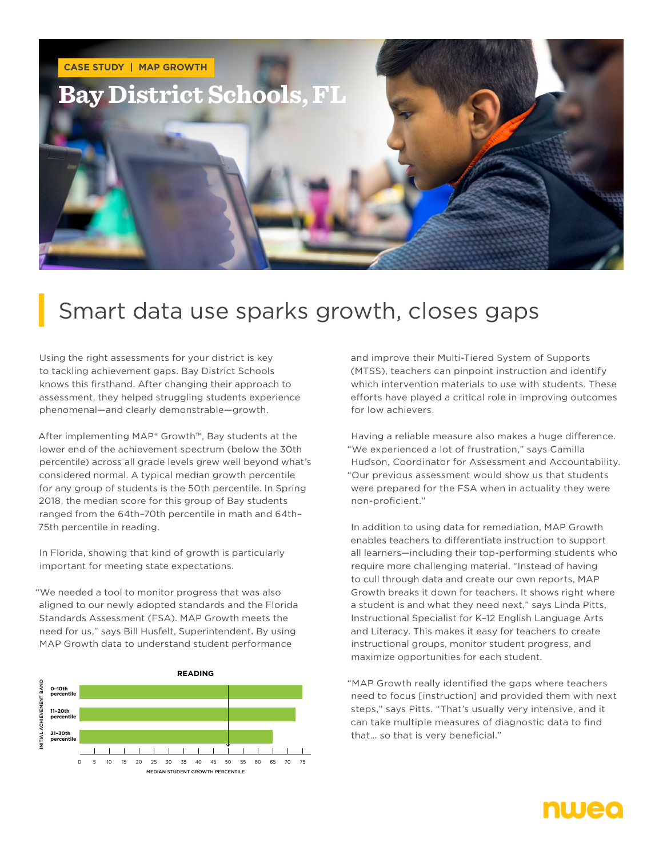

## Smart data use sparks growth, closes gaps

Using the right assessments for your district is key to tackling achievement gaps. Bay District Schools knows this firsthand. After changing their approach to assessment, they helped struggling students experience phenomenal—and clearly demonstrable—growth.

After implementing MAP® Growth™, Bay students at the lower end of the achievement spectrum (below the 30th percentile) across all grade levels grew well beyond what's considered normal. A typical median growth percentile for any group of students is the 50th percentile. In Spring 2018, the median score for this group of Bay students ranged from the 64th–70th percentile in math and 64th– 75th percentile in reading.

In Florida, showing that kind of growth is particularly important for meeting state expectations.

"We needed a tool to monitor progress that was also aligned to our newly adopted standards and the Florida Standards Assessment (FSA). MAP Growth meets the need for us," says Bill Husfelt, Superintendent. By using MAP Growth data to understand student performance



and improve their Multi-Tiered System of Supports (MTSS), teachers can pinpoint instruction and identify which intervention materials to use with students. These efforts have played a critical role in improving outcomes for low achievers.

Having a reliable measure also makes a huge difference. "We experienced a lot of frustration," says Camilla Hudson, Coordinator for Assessment and Accountability. "Our previous assessment would show us that students were prepared for the FSA when in actuality they were non-proficient."

In addition to using data for remediation, MAP Growth enables teachers to differentiate instruction to support all learners—including their top-performing students who require more challenging material. "Instead of having to cull through data and create our own reports, MAP Growth breaks it down for teachers. It shows right where a student is and what they need next," says Linda Pitts, Instructional Specialist for K–12 English Language Arts and Literacy. This makes it easy for teachers to create instructional groups, monitor student progress, and maximize opportunities for each student.

"MAP Growth really identified the gaps where teachers need to focus [instruction] and provided them with next steps," says Pitts. "That's usually very intensive, and it can take multiple measures of diagnostic data to find that… so that is very beneficial."

## nweo